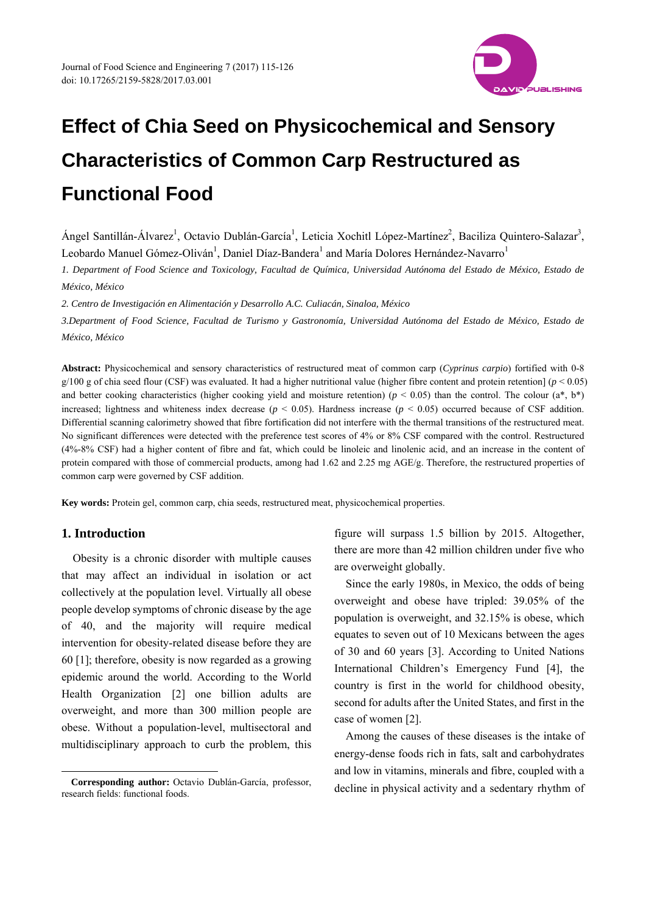

Ángel Santillán-Álvarez<sup>1</sup>, Octavio Dublán-García<sup>1</sup>, Leticia Xochitl López-Martínez<sup>2</sup>, Baciliza Quintero-Salazar<sup>3</sup>, Leobardo Manuel Gómez-Oliván<sup>1</sup>, Daniel Díaz-Bandera<sup>1</sup> and María Dolores Hernández-Navarro<sup>1</sup>

*1. Department of Food Science and Toxicology, Facultad de Química, Universidad Autónoma del Estado de México, Estado de México, México* 

*2. Centro de Investigación en Alimentación y Desarrollo A.C. Culiacán, Sinaloa, México* 

*3.Department of Food Science, Facultad de Turismo y Gastronomía, Universidad Autónoma del Estado de México, Estado de México, México* 

**Abstract:** Physicochemical and sensory characteristics of restructured meat of common carp (*Cyprinus carpio*) fortified with 0-8 g/100 g of chia seed flour (CSF) was evaluated. It had a higher nutritional value (higher fibre content and protein retention] (*p* < 0.05) and better cooking characteristics (higher cooking yield and moisture retention) ( $p < 0.05$ ) than the control. The colour ( $a^*$ ,  $b^*$ ) increased; lightness and whiteness index decrease (*p* < 0.05). Hardness increase (*p* < 0.05) occurred because of CSF addition. Differential scanning calorimetry showed that fibre fortification did not interfere with the thermal transitions of the restructured meat. No significant differences were detected with the preference test scores of 4% or 8% CSF compared with the control. Restructured (4%-8% CSF) had a higher content of fibre and fat, which could be linoleic and linolenic acid, and an increase in the content of protein compared with those of commercial products, among had 1.62 and 2.25 mg AGE/g. Therefore, the restructured properties of common carp were governed by CSF addition.

**Key words:** Protein gel, common carp, chia seeds, restructured meat, physicochemical properties.

## **1. Introduction**

 $\overline{a}$ 

Obesity is a chronic disorder with multiple causes that may affect an individual in isolation or act collectively at the population level. Virtually all obese people develop symptoms of chronic disease by the age of 40, and the majority will require medical intervention for obesity-related disease before they are 60 [1]; therefore, obesity is now regarded as a growing epidemic around the world. According to the World Health Organization [2] one billion adults are overweight, and more than 300 million people are obese. Without a population-level, multisectoral and multidisciplinary approach to curb the problem, this figure will surpass 1.5 billion by 2015. Altogether, there are more than 42 million children under five who are overweight globally.

Since the early 1980s, in Mexico, the odds of being overweight and obese have tripled: 39.05% of the population is overweight, and 32.15% is obese, which equates to seven out of 10 Mexicans between the ages of 30 and 60 years [3]. According to United Nations International Children's Emergency Fund [4], the country is first in the world for childhood obesity, second for adults after the United States, and first in the case of women [2].

Among the causes of these diseases is the intake of energy-dense foods rich in fats, salt and carbohydrates and low in vitamins, minerals and fibre, coupled with a decline in physical activity and a sedentary rhythm of

**Corresponding author:** Octavio Dublán-García, professor, research fields: functional foods.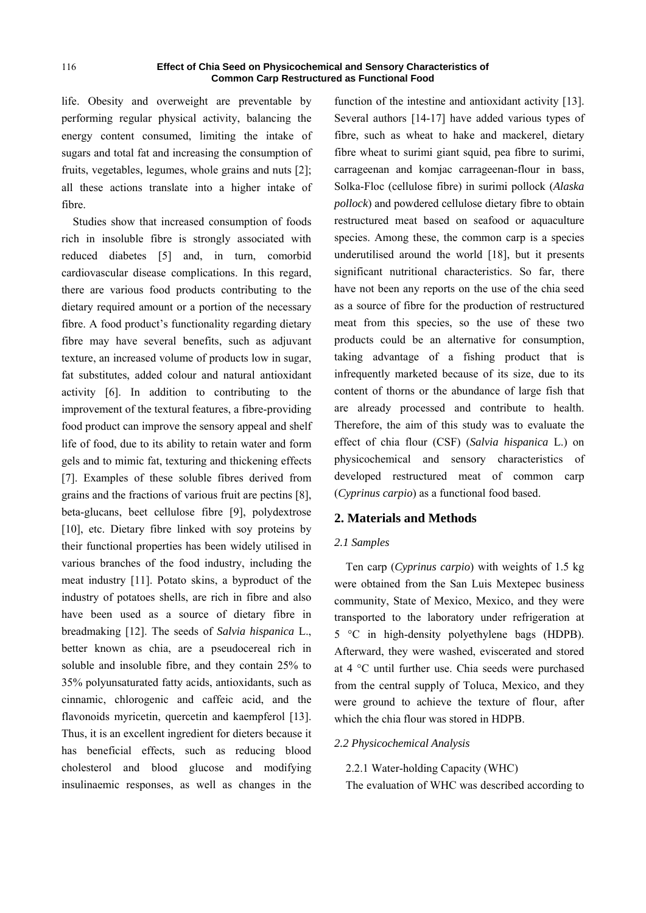life. Obesity and overweight are preventable by performing regular physical activity, balancing the energy content consumed, limiting the intake of sugars and total fat and increasing the consumption of fruits, vegetables, legumes, whole grains and nuts [2]; all these actions translate into a higher intake of fibre.

Studies show that increased consumption of foods rich in insoluble fibre is strongly associated with reduced diabetes [5] and, in turn, comorbid cardiovascular disease complications. In this regard, there are various food products contributing to the dietary required amount or a portion of the necessary fibre. A food product's functionality regarding dietary fibre may have several benefits, such as adjuvant texture, an increased volume of products low in sugar, fat substitutes, added colour and natural antioxidant activity [6]. In addition to contributing to the improvement of the textural features, a fibre-providing food product can improve the sensory appeal and shelf life of food, due to its ability to retain water and form gels and to mimic fat, texturing and thickening effects [7]. Examples of these soluble fibres derived from grains and the fractions of various fruit are pectins [8], beta-glucans, beet cellulose fibre [9], polydextrose [10], etc. Dietary fibre linked with soy proteins by their functional properties has been widely utilised in various branches of the food industry, including the meat industry [11]. Potato skins, a byproduct of the industry of potatoes shells, are rich in fibre and also have been used as a source of dietary fibre in breadmaking [12]. The seeds of *Salvia hispanica* L., better known as chia, are a pseudocereal rich in soluble and insoluble fibre, and they contain 25% to 35% polyunsaturated fatty acids, antioxidants, such as cinnamic, chlorogenic and caffeic acid, and the flavonoids myricetin, quercetin and kaempferol [13]. Thus, it is an excellent ingredient for dieters because it has beneficial effects, such as reducing blood cholesterol and blood glucose and modifying insulinaemic responses, as well as changes in the

function of the intestine and antioxidant activity [13]. Several authors [14-17] have added various types of fibre, such as wheat to hake and mackerel, dietary fibre wheat to surimi giant squid, pea fibre to surimi, carrageenan and komjac carrageenan-flour in bass, Solka-Floc (cellulose fibre) in surimi pollock (*Alaska pollock*) and powdered cellulose dietary fibre to obtain restructured meat based on seafood or aquaculture species. Among these, the common carp is a species underutilised around the world [18], but it presents significant nutritional characteristics. So far, there have not been any reports on the use of the chia seed as a source of fibre for the production of restructured meat from this species, so the use of these two products could be an alternative for consumption, taking advantage of a fishing product that is infrequently marketed because of its size, due to its content of thorns or the abundance of large fish that are already processed and contribute to health. Therefore, the aim of this study was to evaluate the effect of chia flour (CSF) (*Salvia hispanica* L.) on physicochemical and sensory characteristics of developed restructured meat of common carp (*Cyprinus carpio*) as a functional food based.

## **2. Materials and Methods**

## *2.1 Samples*

Ten carp (*Cyprinus carpio*) with weights of 1.5 kg were obtained from the San Luis Mextepec business community, State of Mexico, Mexico, and they were transported to the laboratory under refrigeration at 5 °C in high-density polyethylene bags (HDPB). Afterward, they were washed, eviscerated and stored at 4 °C until further use. Chia seeds were purchased from the central supply of Toluca, Mexico, and they were ground to achieve the texture of flour, after which the chia flour was stored in HDPB.

#### *2.2 Physicochemical Analysis*

#### 2.2.1 Water-holding Capacity (WHC)

The evaluation of WHC was described according to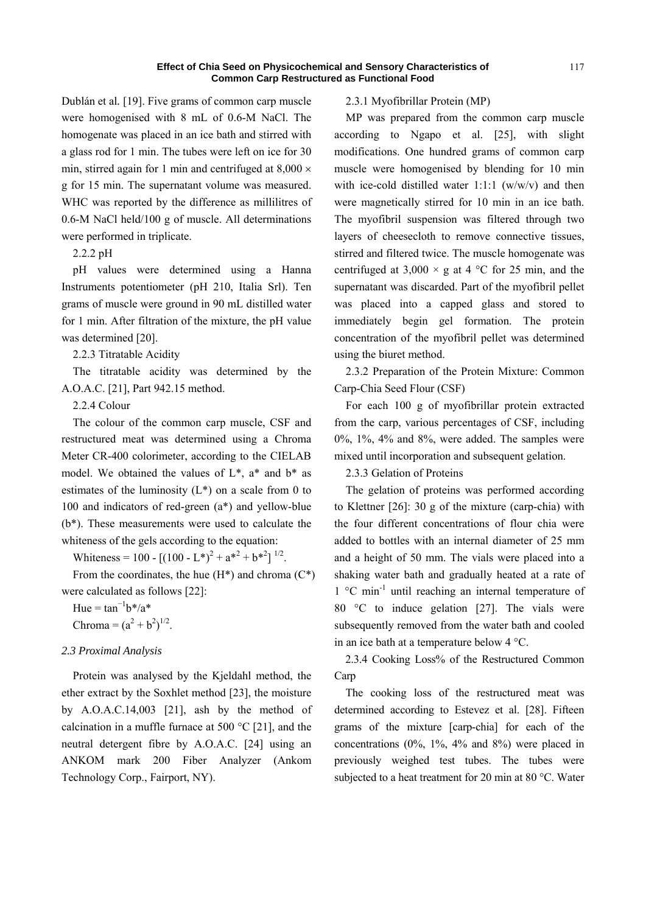Dublán et al*.* [19]. Five grams of common carp muscle were homogenised with 8 mL of 0.6-M NaCl. The homogenate was placed in an ice bath and stirred with a glass rod for 1 min. The tubes were left on ice for 30 min, stirred again for 1 min and centrifuged at  $8,000 \times$ g for 15 min. The supernatant volume was measured. WHC was reported by the difference as millilitres of 0.6-M NaCl held/100 g of muscle. All determinations were performed in triplicate.

2.2.2 pH

pH values were determined using a Hanna Instruments potentiometer (pH 210, Italia Srl). Ten grams of muscle were ground in 90 mL distilled water for 1 min. After filtration of the mixture, the pH value was determined [20].

2.2.3 Titratable Acidity

The titratable acidity was determined by the A.O.A.C. [21], Part 942.15 method.

2.2.4 Colour

The colour of the common carp muscle, CSF and restructured meat was determined using a Chroma Meter CR-400 colorimeter, according to the CIELAB model. We obtained the values of  $L^*$ ,  $a^*$  and  $b^*$  as estimates of the luminosity  $(L^*)$  on a scale from 0 to 100 and indicators of red-green (a\*) and yellow-blue (b\*). These measurements were used to calculate the whiteness of the gels according to the equation:

Whiteness = 100 -  $[(100 - L^*)^2 + a^{*2} + b^{*2}]^{1/2}$ .

From the coordinates, the hue  $(H^*)$  and chroma  $(C^*)$ were calculated as follows [22]:

Hue =  $\tan^{-1}b^*/a^*$ Chroma =  $(a^2 + b^2)^{1/2}$ .

#### *2.3 Proximal Analysis*

Protein was analysed by the Kjeldahl method, the ether extract by the Soxhlet method [23], the moisture by A.O.A.C.14,003 [21], ash by the method of calcination in a muffle furnace at 500  $^{\circ}$ C [21], and the neutral detergent fibre by A.O.A.C. [24] using an ANKOM mark 200 Fiber Analyzer (Ankom Technology Corp., Fairport, NY).

#### 2.3.1 Myofibrillar Protein (MP)

MP was prepared from the common carp muscle according to Ngapo et al. [25], with slight modifications. One hundred grams of common carp muscle were homogenised by blending for 10 min with ice-cold distilled water 1:1:1  $(w/w/v)$  and then were magnetically stirred for 10 min in an ice bath. The myofibril suspension was filtered through two layers of cheesecloth to remove connective tissues, stirred and filtered twice. The muscle homogenate was centrifuged at  $3,000 \times g$  at 4 °C for 25 min, and the supernatant was discarded. Part of the myofibril pellet was placed into a capped glass and stored to immediately begin gel formation. The protein concentration of the myofibril pellet was determined using the biuret method.

2.3.2 Preparation of the Protein Mixture: Common Carp-Chia Seed Flour (CSF)

For each 100 g of myofibrillar protein extracted from the carp, various percentages of CSF, including 0%, 1%, 4% and 8%, were added. The samples were mixed until incorporation and subsequent gelation.

2.3.3 Gelation of Proteins

The gelation of proteins was performed according to Klettner [26]: 30 g of the mixture (carp-chia) with the four different concentrations of flour chia were added to bottles with an internal diameter of 25 mm and a height of 50 mm. The vials were placed into a shaking water bath and gradually heated at a rate of  $1 \degree C$  min<sup>-1</sup> until reaching an internal temperature of 80 °C to induce gelation [27]. The vials were subsequently removed from the water bath and cooled in an ice bath at a temperature below 4 °C.

2.3.4 Cooking Loss% of the Restructured Common Carp

The cooking loss of the restructured meat was determined according to Estevez et al. [28]. Fifteen grams of the mixture [carp-chia] for each of the concentrations (0%, 1%, 4% and 8%) were placed in previously weighed test tubes. The tubes were subjected to a heat treatment for 20 min at 80 °C. Water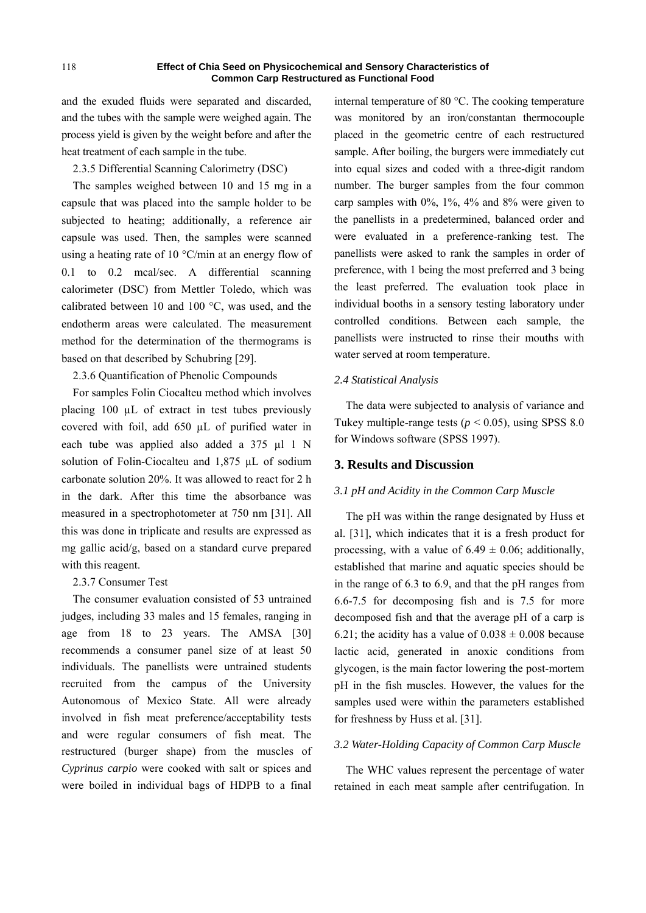and the exuded fluids were separated and discarded, and the tubes with the sample were weighed again. The process yield is given by the weight before and after the heat treatment of each sample in the tube.

2.3.5 Differential Scanning Calorimetry (DSC)

The samples weighed between 10 and 15 mg in a capsule that was placed into the sample holder to be subjected to heating; additionally, a reference air capsule was used. Then, the samples were scanned using a heating rate of 10 °C/min at an energy flow of 0.1 to 0.2 mcal/sec. A differential scanning calorimeter (DSC) from Mettler Toledo, which was calibrated between 10 and 100 °C, was used, and the endotherm areas were calculated. The measurement method for the determination of the thermograms is based on that described by Schubring [29].

2.3.6 Quantification of Phenolic Compounds

For samples Folin Ciocalteu method which involves placing 100 µL of extract in test tubes previously covered with foil, add 650 µL of purified water in each tube was applied also added a 375 µl 1 N solution of Folin-Ciocalteu and 1,875 µL of sodium carbonate solution 20%. It was allowed to react for 2 h in the dark. After this time the absorbance was measured in a spectrophotometer at 750 nm [31]. All this was done in triplicate and results are expressed as mg gallic acid/g, based on a standard curve prepared with this reagent.

## 2.3.7 Consumer Test

The consumer evaluation consisted of 53 untrained judges, including 33 males and 15 females, ranging in age from 18 to 23 years. The AMSA [30] recommends a consumer panel size of at least 50 individuals. The panellists were untrained students recruited from the campus of the University Autonomous of Mexico State. All were already involved in fish meat preference/acceptability tests and were regular consumers of fish meat. The restructured (burger shape) from the muscles of *Cyprinus carpio* were cooked with salt or spices and were boiled in individual bags of HDPB to a final

internal temperature of 80 °C. The cooking temperature was monitored by an iron/constantan thermocouple placed in the geometric centre of each restructured sample. After boiling, the burgers were immediately cut into equal sizes and coded with a three-digit random number. The burger samples from the four common carp samples with 0%, 1%, 4% and 8% were given to the panellists in a predetermined, balanced order and were evaluated in a preference-ranking test. The panellists were asked to rank the samples in order of preference, with 1 being the most preferred and 3 being the least preferred. The evaluation took place in individual booths in a sensory testing laboratory under controlled conditions. Between each sample, the panellists were instructed to rinse their mouths with water served at room temperature.

## *2.4 Statistical Analysis*

The data were subjected to analysis of variance and Tukey multiple-range tests ( $p \le 0.05$ ), using SPSS 8.0 for Windows software (SPSS 1997).

## **3. Results and Discussion**

## *3.1 pH and Acidity in the Common Carp Muscle*

The pH was within the range designated by Huss et al. [31], which indicates that it is a fresh product for processing, with a value of  $6.49 \pm 0.06$ ; additionally, established that marine and aquatic species should be in the range of 6.3 to 6.9, and that the pH ranges from 6.6-7.5 for decomposing fish and is 7.5 for more decomposed fish and that the average pH of a carp is 6.21; the acidity has a value of  $0.038 \pm 0.008$  because lactic acid, generated in anoxic conditions from glycogen, is the main factor lowering the post-mortem pH in the fish muscles. However, the values for the samples used were within the parameters established for freshness by Huss et al. [31].

## *3.2 Water-Holding Capacity of Common Carp Muscle*

The WHC values represent the percentage of water retained in each meat sample after centrifugation. In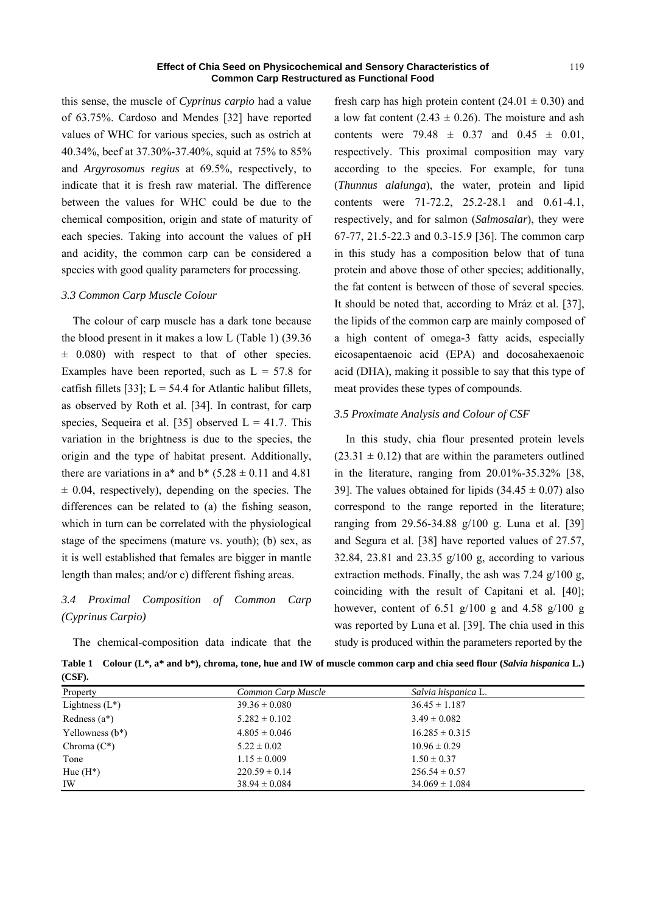this sense, the muscle of *Cyprinus carpio* had a value of 63.75%. Cardoso and Mendes [32] have reported values of WHC for various species, such as ostrich at 40.34%, beef at 37.30%-37.40%, squid at 75% to 85% and *Argyrosomus regius* at 69.5%, respectively, to indicate that it is fresh raw material. The difference between the values for WHC could be due to the chemical composition, origin and state of maturity of each species. Taking into account the values of pH and acidity, the common carp can be considered a species with good quality parameters for processing.

#### *3.3 Common Carp Muscle Colour*

The colour of carp muscle has a dark tone because the blood present in it makes a low L (Table 1) (39.36  $\pm$  0.080) with respect to that of other species. Examples have been reported, such as  $L = 57.8$  for catfish fillets [33];  $L = 54.4$  for Atlantic halibut fillets, as observed by Roth et al. [34]. In contrast, for carp species, Sequeira et al. [35] observed  $L = 41.7$ . This variation in the brightness is due to the species, the origin and the type of habitat present. Additionally, there are variations in  $a^*$  and  $b^*$  (5.28  $\pm$  0.11 and 4.81)  $\pm$  0.04, respectively), depending on the species. The differences can be related to (a) the fishing season, which in turn can be correlated with the physiological stage of the specimens (mature vs. youth); (b) sex, as it is well established that females are bigger in mantle length than males; and/or c) different fishing areas.

# *3.4 Proximal Composition of Common Carp (Cyprinus Carpio)*

The chemical-composition data indicate that the

fresh carp has high protein content ( $24.01 \pm 0.30$ ) and a low fat content (2.43  $\pm$  0.26). The moisture and ash contents were 79.48  $\pm$  0.37 and 0.45  $\pm$  0.01, respectively. This proximal composition may vary according to the species. For example, for tuna (*Thunnus alalunga*), the water, protein and lipid contents were 71-72.2, 25.2-28.1 and 0.61-4.1, respectively, and for salmon (*Salmosalar*), they were 67-77, 21.5-22.3 and 0.3-15.9 [36]. The common carp in this study has a composition below that of tuna protein and above those of other species; additionally, the fat content is between of those of several species. It should be noted that, according to Mráz et al. [37], the lipids of the common carp are mainly composed of a high content of omega-3 fatty acids, especially eicosapentaenoic acid (EPA) and docosahexaenoic acid (DHA), making it possible to say that this type of meat provides these types of compounds.

## *3.5 Proximate Analysis and Colour of CSF*

In this study, chia flour presented protein levels  $(23.31 \pm 0.12)$  that are within the parameters outlined in the literature, ranging from 20.01%-35.32% [38, 39]. The values obtained for lipids  $(34.45 \pm 0.07)$  also correspond to the range reported in the literature; ranging from 29.56-34.88 g/100 g. Luna et al. [39] and Segura et al. [38] have reported values of 27.57, 32.84, 23.81 and 23.35 g/100 g, according to various extraction methods. Finally, the ash was 7.24 g/100 g, coinciding with the result of Capitani et al. [40]; however, content of 6.51  $g/100$  g and 4.58  $g/100$  g was reported by Luna et al. [39]. The chia used in this study is produced within the parameters reported by the

**Table 1 Colour (L\*, a\* and b\*), chroma, tone, hue and IW of muscle common carp and chia seed flour (***Salvia hispanica* **L.) (CSF).** 

| Property           | Common Carp Muscle | Salvia hispanica L. |
|--------------------|--------------------|---------------------|
| Lightness $(L^*)$  | $39.36 \pm 0.080$  | $36.45 \pm 1.187$   |
| Redness $(a^*)$    | $5.282 \pm 0.102$  | $3.49 \pm 0.082$    |
| Yellowness $(b^*)$ | $4.805 \pm 0.046$  | $16.285 \pm 0.315$  |
| Chroma $(C^*)$     | $5.22 \pm 0.02$    | $10.96 \pm 0.29$    |
| Tone               | $1.15 \pm 0.009$   | $1.50 \pm 0.37$     |
| Hue $(H^*)$        | $220.59 \pm 0.14$  | $256.54 \pm 0.57$   |
| IW                 | $38.94 \pm 0.084$  | $34.069 \pm 1.084$  |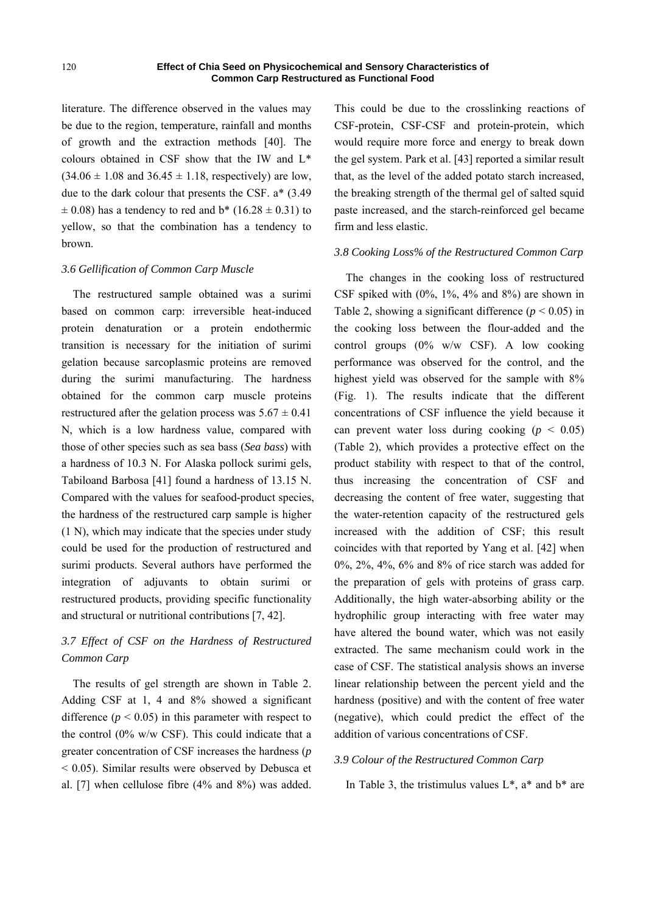literature. The difference observed in the values may be due to the region, temperature, rainfall and months of growth and the extraction methods [40]. The colours obtained in CSF show that the IW and L\*  $(34.06 \pm 1.08 \text{ and } 36.45 \pm 1.18, \text{ respectively})$  are low, due to the dark colour that presents the CSF. a\* (3.49  $\pm$  0.08) has a tendency to red and b\* (16.28  $\pm$  0.31) to yellow, so that the combination has a tendency to brown.

## *3.6 Gellification of Common Carp Muscle*

The restructured sample obtained was a surimi based on common carp: irreversible heat-induced protein denaturation or a protein endothermic transition is necessary for the initiation of surimi gelation because sarcoplasmic proteins are removed during the surimi manufacturing. The hardness obtained for the common carp muscle proteins restructured after the gelation process was  $5.67 \pm 0.41$ N, which is a low hardness value, compared with those of other species such as sea bass (*Sea bass*) with a hardness of 10.3 N. For Alaska pollock surimi gels, Tabiloand Barbosa [41] found a hardness of 13.15 N. Compared with the values for seafood-product species, the hardness of the restructured carp sample is higher (1 N), which may indicate that the species under study could be used for the production of restructured and surimi products. Several authors have performed the integration of adjuvants to obtain surimi or restructured products, providing specific functionality and structural or nutritional contributions [7, 42].

# *3.7 Effect of CSF on the Hardness of Restructured Common Carp*

The results of gel strength are shown in Table 2. Adding CSF at 1, 4 and 8% showed a significant difference  $(p < 0.05)$  in this parameter with respect to the control (0% w/w CSF). This could indicate that a greater concentration of CSF increases the hardness (*p*  < 0.05). Similar results were observed by Debusca et al. [7] when cellulose fibre (4% and 8%) was added.

This could be due to the crosslinking reactions of CSF-protein, CSF-CSF and protein-protein, which would require more force and energy to break down the gel system. Park et al. [43] reported a similar result that, as the level of the added potato starch increased, the breaking strength of the thermal gel of salted squid paste increased, and the starch-reinforced gel became firm and less elastic.

#### *3.8 Cooking Loss% of the Restructured Common Carp*

The changes in the cooking loss of restructured CSF spiked with  $(0\%, 1\%, 4\%$  and  $8\%)$  are shown in Table 2, showing a significant difference  $(p < 0.05)$  in the cooking loss between the flour-added and the control groups (0% w/w CSF). A low cooking performance was observed for the control, and the highest yield was observed for the sample with 8% (Fig. 1). The results indicate that the different concentrations of CSF influence the yield because it can prevent water loss during cooking  $(p < 0.05)$ (Table 2), which provides a protective effect on the product stability with respect to that of the control, thus increasing the concentration of CSF and decreasing the content of free water, suggesting that the water-retention capacity of the restructured gels increased with the addition of CSF; this result coincides with that reported by Yang et al. [42] when 0%, 2%, 4%, 6% and 8% of rice starch was added for the preparation of gels with proteins of grass carp. Additionally, the high water-absorbing ability or the hydrophilic group interacting with free water may have altered the bound water, which was not easily extracted. The same mechanism could work in the case of CSF. The statistical analysis shows an inverse linear relationship between the percent yield and the hardness (positive) and with the content of free water (negative), which could predict the effect of the addition of various concentrations of CSF.

#### *3.9 Colour of the Restructured Common Carp*

In Table 3, the tristimulus values  $L^*$ ,  $a^*$  and  $b^*$  are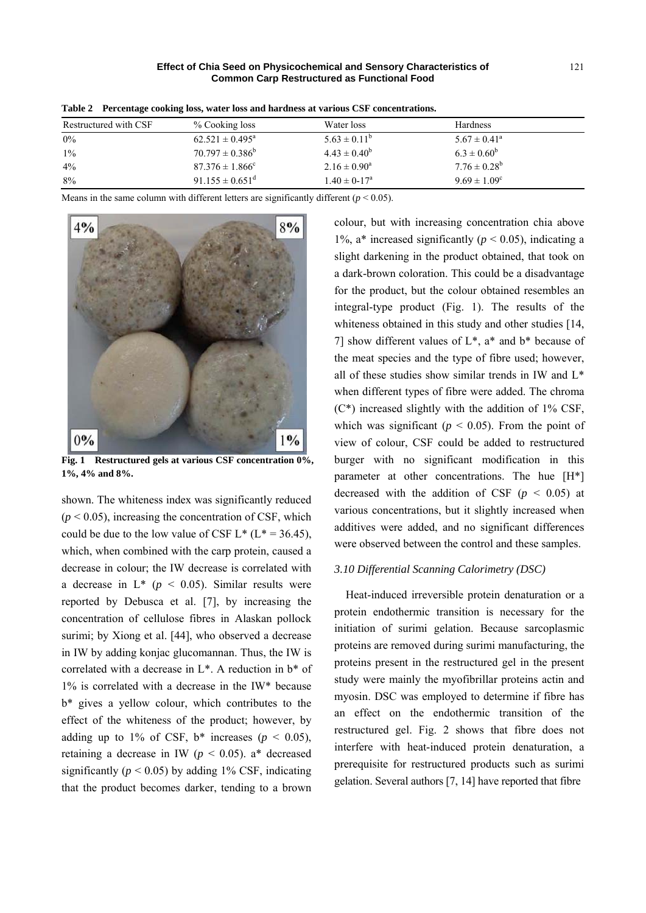| Table 2 - I creentage cooking 1955, water 1955 and naruness at various CDF concentrations. |                                 |                         |                         |  |  |  |
|--------------------------------------------------------------------------------------------|---------------------------------|-------------------------|-------------------------|--|--|--|
| Restructured with CSF                                                                      | % Cooking loss                  | Water loss              | <b>Hardness</b>         |  |  |  |
| 0%                                                                                         | $62.521 \pm 0.495^{\text{a}}$   | $5.63 \pm 0.11^{\circ}$ | $5.67 \pm 0.41^{\circ}$ |  |  |  |
| $1\%$                                                                                      | $70.797 \pm 0.386^b$            | $4.43 \pm 0.40^b$       | $6.3 \pm 0.60^b$        |  |  |  |
| 4%                                                                                         | $87.376 \pm 1.866^{\circ}$      | $2.16 \pm 0.90^a$       | $7.76 \pm 0.28^b$       |  |  |  |
| 8%                                                                                         | $91.155 \pm 0.651$ <sup>d</sup> | $1.40 \pm 0.17^a$       | $9.69 \pm 1.09^c$       |  |  |  |

**Table 2 Percentage cooking loss, water loss and hardness at various CSF concentrations.** 

Means in the same column with different letters are significantly different ( $p < 0.05$ ).



**Fig. 1 Restructured gels at various CSF concentration 0%, 1%, 4% and 8%.** 

shown. The whiteness index was significantly reduced  $(p < 0.05)$ , increasing the concentration of CSF, which could be due to the low value of CSF  $L^*$  ( $L^* = 36.45$ ), which, when combined with the carp protein, caused a decrease in colour; the IW decrease is correlated with a decrease in  $L^*$  ( $p < 0.05$ ). Similar results were reported by Debusca et al. [7], by increasing the concentration of cellulose fibres in Alaskan pollock surimi; by Xiong et al. [44], who observed a decrease in IW by adding konjac glucomannan. Thus, the IW is correlated with a decrease in L\*. A reduction in b\* of 1% is correlated with a decrease in the IW\* because b\* gives a yellow colour, which contributes to the effect of the whiteness of the product; however, by adding up to 1% of CSF,  $b^*$  increases ( $p < 0.05$ ), retaining a decrease in IW ( $p < 0.05$ ). a<sup>\*</sup> decreased significantly ( $p < 0.05$ ) by adding 1% CSF, indicating that the product becomes darker, tending to a brown colour, but with increasing concentration chia above 1%,  $a^*$  increased significantly ( $p < 0.05$ ), indicating a slight darkening in the product obtained, that took on a dark-brown coloration. This could be a disadvantage for the product, but the colour obtained resembles an integral-type product (Fig. 1). The results of the whiteness obtained in this study and other studies [14, 7] show different values of  $L^*$ ,  $a^*$  and  $b^*$  because of the meat species and the type of fibre used; however, all of these studies show similar trends in IW and L\* when different types of fibre were added. The chroma (C\*) increased slightly with the addition of 1% CSF, which was significant ( $p < 0.05$ ). From the point of view of colour, CSF could be added to restructured burger with no significant modification in this parameter at other concentrations. The hue [H\*] decreased with the addition of CSF ( $p < 0.05$ ) at various concentrations, but it slightly increased when additives were added, and no significant differences were observed between the control and these samples.

#### *3.10 Differential Scanning Calorimetry (DSC)*

Heat-induced irreversible protein denaturation or a protein endothermic transition is necessary for the initiation of surimi gelation. Because sarcoplasmic proteins are removed during surimi manufacturing, the proteins present in the restructured gel in the present study were mainly the myofibrillar proteins actin and myosin. DSC was employed to determine if fibre has an effect on the endothermic transition of the restructured gel. Fig. 2 shows that fibre does not interfere with heat-induced protein denaturation, a prerequisite for restructured products such as surimi gelation. Several authors [7, 14] have reported that fibre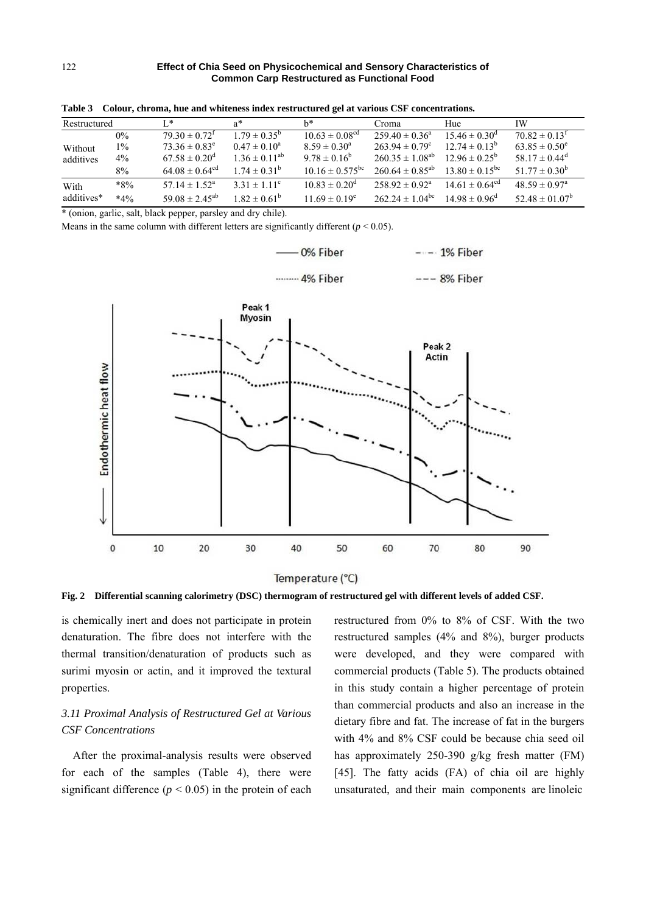| Restructured |        | Ι*                           | a*                      | h*                           | Croma                      | Hue                          | IW                            |
|--------------|--------|------------------------------|-------------------------|------------------------------|----------------------------|------------------------------|-------------------------------|
|              | $0\%$  | $79.30 \pm 0.72^{\text{T}}$  | $1.79 \pm 0.35^{\circ}$ | $10.63 \pm 0.08^{\text{cd}}$ | $259.40 \pm 0.36^{\circ}$  | $15.46 \pm 0.30^{\circ}$     | $70.82 \pm 0.13^{\text{T}}$   |
| Without      | $1\%$  | $73.36 \pm 0.83^e$           | $0.47 \pm 0.10^a$       | $8.59 \pm 0.30^{\circ}$      | $263.94 \pm 0.79^c$        | $12.74 \pm 0.13^b$           | $63.85 \pm 0.50^e$            |
| additives    | $4\%$  | $67.58 \pm 0.20^{\circ}$     | $1.36 \pm 0.11^{ab}$    | $9.78 \pm 0.16^b$            | $260.35 \pm 1.08^{ab}$     | $12.96 \pm 0.25^{\circ}$     | 58.17 $\pm$ 0.44 <sup>d</sup> |
|              | 8%     | $64.08 \pm 0.64^{\text{cd}}$ | $1.74 \pm 0.31^b$       | $10.16 \pm 0.575^{\rm bc}$   | $260.64 \pm 0.85^{ab}$     | $13.80 \pm 0.15^{\rm bc}$    | $51.77 \pm 0.30^b$            |
| With         | $*8\%$ | $57.14 \pm 1.52^{\circ}$     | $3.31 \pm 1.11^{\circ}$ | $10.83 \pm 0.20^{\circ}$     | $258.92 \pm 0.92^{\circ}$  | $14.61 \pm 0.64^{\text{cd}}$ | $48.59 \pm 0.97$ <sup>a</sup> |
| additives*   | $*4%$  | $59.08 \pm 2.45^{ab}$        | $1.82 \pm 0.61^{\circ}$ | $11.69 \pm 0.19^e$           | $262.24 \pm 1.04^{\rm bc}$ | $14.98 \pm 0.96^{\circ}$     | $52.48 \pm 01.07^b$           |

**Table 3 Colour, chroma, hue and whiteness index restructured gel at various CSF concentrations.** 

\* (onion, garlic, salt, black pepper, parsley and dry chile).

Means in the same column with different letters are significantly different  $(p < 0.05)$ .



Temperature (°C)

**Fig. 2 Differential scanning calorimetry (DSC) thermogram of restructured gel with different levels of added CSF.** 

is chemically inert and does not participate in protein denaturation. The fibre does not interfere with the thermal transition/denaturation of products such as surimi myosin or actin, and it improved the textural properties.

# *3.11 Proximal Analysis of Restructured Gel at Various CSF Concentrations*

After the proximal-analysis results were observed for each of the samples (Table 4), there were significant difference  $(p < 0.05)$  in the protein of each restructured from 0% to 8% of CSF. With the two restructured samples (4% and 8%), burger products were developed, and they were compared with commercial products (Table 5). The products obtained in this study contain a higher percentage of protein than commercial products and also an increase in the dietary fibre and fat. The increase of fat in the burgers with 4% and 8% CSF could be because chia seed oil has approximately 250-390 g/kg fresh matter (FM) [45]. The fatty acids (FA) of chia oil are highly unsaturated, and their main components are linoleic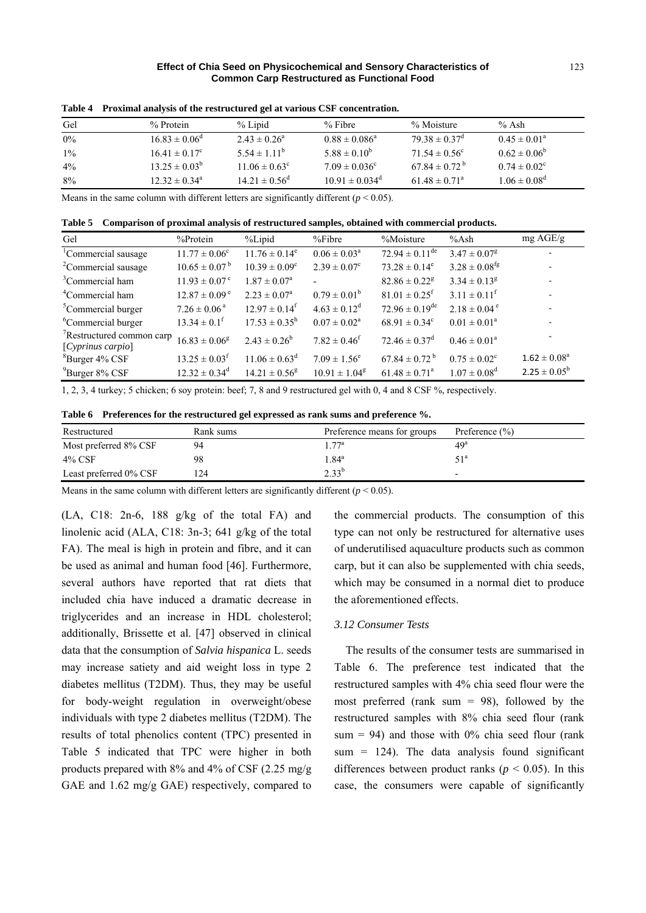| Gel   | $%$ Protein              | $%$ Lipid                | $%$ Fibre                | % Moisture                    | % Ash                   |
|-------|--------------------------|--------------------------|--------------------------|-------------------------------|-------------------------|
| 0%    | $16.83 \pm 0.06^{\circ}$ | $2.43 \pm 0.26^a$        | $0.88 \pm 0.086^a$       | $79.38 \pm 0.37$ <sup>d</sup> | $0.45 \pm 0.01^{\circ}$ |
| $1\%$ | $16.41 \pm 0.17^c$       | $5.54 \pm 1.11^b$        | $5.88 \pm 0.10^b$        | $71.54 \pm 0.56^{\circ}$      | $0.62 \pm 0.06^b$       |
| $4\%$ | $13.25 \pm 0.03^b$       | $11.06 \pm 0.63^{\circ}$ | $7.09 \pm 0.036^{\circ}$ | $67.84 \pm 0.72^{\circ}$      | $0.74 \pm 0.02^{\circ}$ |
| 8%    | $12.32 \pm 0.34^{\circ}$ | $14.21 \pm 0.56^{\circ}$ | $10.91 \pm 0.034^d$      | $61.48 \pm 0.71^{\circ}$      | $1.06 \pm 0.08^d$       |

**Table 4 Proximal analysis of the restructured gel at various CSF concentration.** 

Means in the same column with different letters are significantly different  $(p < 0.05)$ .

**Table 5 Comparison of proximal analysis of restructured samples, obtained with commercial products.** 

| Gel                                                        | $%$ Protein                   | %Lipid                        | $%$ Fibre                  | %Moisture                      | %Ash                          | mg AGE/g                 |
|------------------------------------------------------------|-------------------------------|-------------------------------|----------------------------|--------------------------------|-------------------------------|--------------------------|
| <sup>1</sup> Commercial sausage                            | $11.77 \pm 0.06^{\circ}$      | $11.76 \pm 0.14^e$            | $0.06 \pm 0.03^a$          | $72.94 \pm 0.11^{\text{de}}$   | $3.47 \pm 0.07^8$             | $\overline{\phantom{a}}$ |
| <sup>2</sup> Commercial sausage                            | $10.65 \pm 0.07^{\mathrm{b}}$ | $10.39 \pm 0.09^{\circ}$      | $2.39 \pm 0.07^c$          | $73.28 \pm 0.14^e$             | $3.28 \pm 0.08$ <sup>fg</sup> |                          |
| <sup>3</sup> Commercial ham                                | $11.93 \pm 0.07$ <sup>c</sup> | $1.87 \pm 0.07^{\text{a}}$    |                            | $82.86 \pm 0.22$ <sup>g</sup>  | $3.34 \pm 0.13^8$             |                          |
| <sup>4</sup> Commercial ham                                | $12.87 \pm 0.09^{\circ}$      | $2.23 \pm 0.07^{\rm a}$       | $0.79 \pm 0.01^b$          | $81.01 \pm 0.25$ <sup>f</sup>  | $3.11 \pm 0.11^{\text{f}}$    |                          |
| <sup>5</sup> Commercial burger                             | $7.26 \pm 0.06^{\text{ a}}$   | $12.97 \pm 0.14^{\mathrm{f}}$ | $4.63 \pm 0.12^d$          | $72.96 \pm 0.19$ <sup>de</sup> | $2.18 \pm 0.04$ <sup>e</sup>  |                          |
| <sup>6</sup> Commercial burger                             | $13.34 \pm 0.1^{\text{f}}$    | $17.53 \pm 0.35^{\rm h}$      | $0.07 \pm 0.02^a$          | $68.91 \pm 0.34^c$             | $0.01 \pm 0.01^a$             |                          |
| <sup>7</sup> Restructured common carp<br>[Cyprinus carpio] | $16.83 \pm 0.06^8$            | $2.43 \pm 0.26^b$             | $7.82 \pm 0.46^{\text{f}}$ | $72.46 \pm 0.37^{\circ}$       | $0.46 \pm 0.01^a$             |                          |
| $\mathrm{^{8}Burger}$ 4% CSF                               | $13.25 \pm 0.03$ <sup>f</sup> | $11.06 \pm 0.63^{\text{d}}$   | $7.09 \pm 1.56^e$          | $67.84 \pm 0.72^{\text{b}}$    | $0.75 \pm 0.02^c$             | $1.62 \pm 0.08^a$        |
| $^{9}$ Burger 8% CSF                                       | $12.32 \pm 0.34^d$            | $14.21 \pm 0.56^8$            | $10.91 \pm 1.04^8$         | $61.48 \pm 0.71^{\circ}$       | $1.07 \pm 0.08^{\text{d}}$    | $2.25 \pm 0.05^b$        |

1, 2, 3, 4 turkey; 5 chicken; 6 soy protein: beef; 7, 8 and 9 restructured gel with 0, 4 and 8 CSF %, respectively.

**Table 6 Preferences for the restructured gel expressed as rank sums and preference %.** 

| Restructured           | Rank sums | Preference means for groups | Preference $(\% )$       |
|------------------------|-----------|-----------------------------|--------------------------|
| Most preferred 8% CSF  | 94        | 77 <sup>a</sup>             | 49 <sup>a</sup>          |
| $4\%$ CSF              | 98        | $1.84^{\rm a}$              | 51ª                      |
| Least preferred 0% CSF | 124       | $2.33^{b}$                  | $\overline{\phantom{0}}$ |

Means in the same column with different letters are significantly different ( $p < 0.05$ ).

(LA, C18: 2n-6, 188 g/kg of the total FA) and linolenic acid (ALA, C18: 3n-3; 641 g/kg of the total FA). The meal is high in protein and fibre, and it can be used as animal and human food [46]. Furthermore, several authors have reported that rat diets that included chia have induced a dramatic decrease in triglycerides and an increase in HDL cholesterol; additionally, Brissette et al. [47] observed in clinical data that the consumption of *Salvia hispanica* L. seeds may increase satiety and aid weight loss in type 2 diabetes mellitus (T2DM). Thus, they may be useful for body-weight regulation in overweight/obese individuals with type 2 diabetes mellitus (T2DM). The results of total phenolics content (TPC) presented in Table 5 indicated that TPC were higher in both products prepared with 8% and 4% of CSF (2.25 mg/g GAE and 1.62 mg/g GAE) respectively, compared to the commercial products. The consumption of this type can not only be restructured for alternative uses of underutilised aquaculture products such as common carp, but it can also be supplemented with chia seeds, which may be consumed in a normal diet to produce the aforementioned effects.

#### *3.12 Consumer Tests*

The results of the consumer tests are summarised in Table 6. The preference test indicated that the restructured samples with 4% chia seed flour were the most preferred (rank sum  $= 98$ ), followed by the restructured samples with 8% chia seed flour (rank sum = 94) and those with  $0\%$  chia seed flour (rank sum  $= 124$ ). The data analysis found significant differences between product ranks ( $p < 0.05$ ). In this case, the consumers were capable of significantly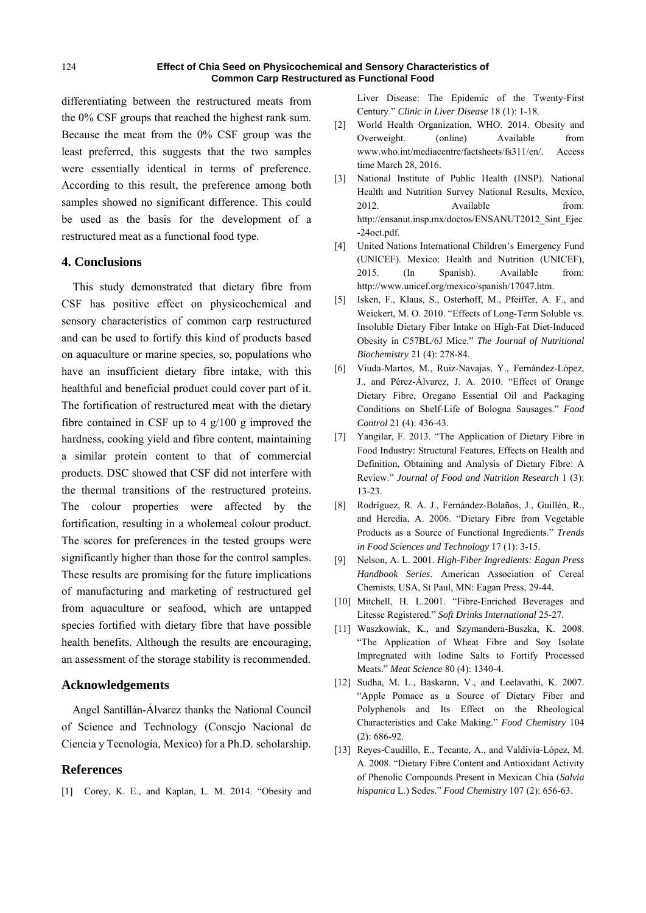differentiating between the restructured meats from the 0% CSF groups that reached the highest rank sum. Because the meat from the 0% CSF group was the least preferred, this suggests that the two samples were essentially identical in terms of preference. According to this result, the preference among both samples showed no significant difference. This could be used as the basis for the development of a restructured meat as a functional food type.

## **4. Conclusions**

This study demonstrated that dietary fibre from CSF has positive effect on physicochemical and sensory characteristics of common carp restructured and can be used to fortify this kind of products based on aquaculture or marine species, so, populations who have an insufficient dietary fibre intake, with this healthful and beneficial product could cover part of it. The fortification of restructured meat with the dietary fibre contained in CSF up to 4 g/100 g improved the hardness, cooking yield and fibre content, maintaining a similar protein content to that of commercial products. DSC showed that CSF did not interfere with the thermal transitions of the restructured proteins. The colour properties were affected by the fortification, resulting in a wholemeal colour product. The scores for preferences in the tested groups were significantly higher than those for the control samples. These results are promising for the future implications of manufacturing and marketing of restructured gel from aquaculture or seafood, which are untapped species fortified with dietary fibre that have possible health benefits. Although the results are encouraging, an assessment of the storage stability is recommended.

# **Acknowledgements**

Angel Santillán-Álvarez thanks the National Council of Science and Technology (Consejo Nacional de Ciencia y Tecnología, Mexico) for a Ph.D. scholarship.

## **References**

[1] Corey, K. E., and Kaplan, L. M. 2014. "Obesity and

Liver Disease: The Epidemic of the Twenty-First Century." *Clinic in Liver Disease* 18 (1): 1-18.

- [2] World Health Organization, WHO. 2014. Obesity and Overweight. (online) Available from www.who.int/mediacentre/factsheets/fs311/en/. Access time March 28, 2016.
- [3] National Institute of Public Health (INSP). National Health and Nutrition Survey National Results, Mexico, 2012. Available from: http://ensanut.insp.mx/doctos/ENSANUT2012\_Sint\_Ejec -24oct.pdf.
- [4] United Nations International Children's Emergency Fund (UNICEF). Mexico: Health and Nutrition (UNICEF), 2015. (In Spanish). Available from: http://www.unicef.org/mexico/spanish/17047.htm.
- [5] Isken, F., Klaus, S., Osterhoff, M., Pfeiffer, A. F., and Weickert, M. O. 2010. "Effects of Long-Term Soluble vs. Insoluble Dietary Fiber Intake on High-Fat Diet-Induced Obesity in C57BL/6J Mice." *The Journal of Nutritional Biochemistry* 21 (4): 278-84.
- [6] Viuda-Martos, M., Ruiz-Navajas, Y., Fernández-López, J., and Pérez-Álvarez, J. A. 2010. "Effect of Orange Dietary Fibre, Oregano Essential Oil and Packaging Conditions on Shelf-Life of Bologna Sausages." *Food Control* 21 (4): 436-43.
- [7] Yangilar, F. 2013. "The Application of Dietary Fibre in Food Industry: Structural Features, Effects on Health and Definition, Obtaining and Analysis of Dietary Fibre: A Review." *Journal of Food and Nutrition Research* 1 (3): 13-23.
- [8] Rodríguez, R. A. J., Fernández-Bolaños, J., Guillén, R., and Heredia, A. 2006. "Dietary Fibre from Vegetable Products as a Source of Functional Ingredients." *Trends in Food Sciences and Technology* 17 (1): 3-15.
- [9] Nelson, A. L. 2001. *High-Fiber Ingredients: Eagan Press Handbook Series*. American Association of Cereal Chemists, USA, St Paul, MN: Eagan Press, 29-44.
- [10] Mitchell, H. L.2001. "Fibre-Enriched Beverages and Litesse Registered." *Soft Drinks International* 25-27.
- [11] Waszkowiak, K., and Szymandera-Buszka, K. 2008. "The Application of Wheat Fibre and Soy Isolate Impregnated with Iodine Salts to Fortify Processed Meats." *Meat Science* 80 (4): 1340-4.
- [12] Sudha, M. L., Baskaran, V., and Leelavathi, K. 2007. "Apple Pomace as a Source of Dietary Fiber and Polyphenols and Its Effect on the Rheological Characteristics and Cake Making." *Food Chemistry* 104 (2): 686-92.
- [13] Reyes-Caudillo, E., Tecante, A., and Valdivia-López, M. A. 2008. "Dietary Fibre Content and Antioxidant Activity of Phenolic Compounds Present in Mexican Chia (*Salvia hispanica* L.) Sedes." *Food Chemistry* 107 (2): 656-63.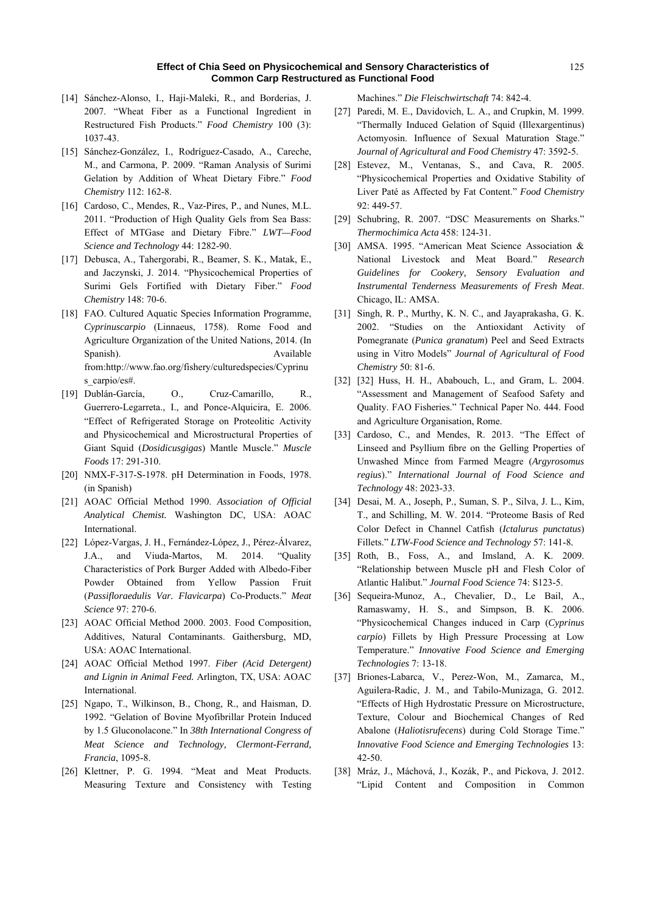- [14] Sánchez-Alonso, I., Haji-Maleki, R., and Borderias, J. 2007. "Wheat Fiber as a Functional Ingredient in Restructured Fish Products." *Food Chemistry* 100 (3): 1037-43.
- [15] Sánchez-González, I., Rodríguez-Casado, A., Careche, M., and Carmona, P. 2009. "Raman Analysis of Surimi Gelation by Addition of Wheat Dietary Fibre." *Food Chemistry* 112: 162-8.
- [16] Cardoso, C., Mendes, R., Vaz-Pires, P., and Nunes, M.L. 2011. "Production of High Quality Gels from Sea Bass: Effect of MTGase and Dietary Fibre." *LWT—Food Science and Technology* 44: 1282-90.
- [17] Debusca, A., Tahergorabi, R., Beamer, S. K., Matak, E., and Jaczynski, J. 2014. "Physicochemical Properties of Surimi Gels Fortified with Dietary Fiber." *Food Chemistry* 148: 70-6.
- [18] FAO. Cultured Aquatic Species Information Programme, *Cyprinuscarpio* (Linnaeus, 1758). Rome Food and Agriculture Organization of the United Nations, 2014. (In Spanish). Available from:http://www.fao.org/fishery/culturedspecies/Cyprinu s\_carpio/es#.
- [19] Dublán-García, O., Cruz-Camarillo, R., Guerrero-Legarreta., I., and Ponce-Alquicira, E. 2006. "Effect of Refrigerated Storage on Proteolitic Activity and Physicochemical and Microstructural Properties of Giant Squid (*Dosidicusgigas*) Mantle Muscle." *Muscle Foods* 17: 291-310.
- [20] NMX-F-317-S-1978. pH Determination in Foods, 1978. (in Spanish)
- [21] AOAC Official Method 1990. *Association of Official Analytical Chemist.* Washington DC, USA: AOAC International.
- [22] López-Vargas, J. H., Fernández-López, J., Pérez-Álvarez, J.A., and Viuda-Martos, M. 2014. "Quality Characteristics of Pork Burger Added with Albedo-Fiber Powder Obtained from Yellow Passion Fruit (*Passifloraedulis Var. Flavicarpa*) Co-Products." *Meat Science* 97: 270-6.
- [23] AOAC Official Method 2000. 2003. Food Composition, Additives, Natural Contaminants. Gaithersburg, MD, USA: AOAC International.
- [24] AOAC Official Method 1997. *Fiber (Acid Detergent) and Lignin in Animal Feed.* Arlington, TX, USA: AOAC International.
- [25] Ngapo, T., Wilkinson, B., Chong, R., and Haisman, D. 1992. "Gelation of Bovine Myofibrillar Protein Induced by 1.5 Gluconolacone." In *38th International Congress of Meat Science and Technology, Clermont-Ferrand, Francia*, 1095-8.
- [26] Klettner, P. G. 1994. "Meat and Meat Products. Measuring Texture and Consistency with Testing

Machines." *Die Fleischwirtschaft* 74: 842-4.

- [27] Paredi, M. E., Davidovich, L. A., and Crupkin, M. 1999. "Thermally Induced Gelation of Squid (Illexargentinus) Actomyosin. Influence of Sexual Maturation Stage." *Journal of Agricultural and Food Chemistry* 47: 3592-5.
- [28] Estevez, M., Ventanas, S., and Cava, R. 2005. "Physicochemical Properties and Oxidative Stability of Liver Paté as Affected by Fat Content." *Food Chemistry*  92: 449-57.
- [29] Schubring, R. 2007. "DSC Measurements on Sharks." *Thermochimica Acta* 458: 124-31.
- [30] AMSA. 1995. "American Meat Science Association & National Livestock and Meat Board." *Research Guidelines for Cookery, Sensory Evaluation and Instrumental Tenderness Measurements of Fresh Meat*. Chicago, IL: AMSA.
- [31] Singh, R. P., Murthy, K. N. C., and Jayaprakasha, G. K. 2002. "Studies on the Antioxidant Activity of Pomegranate (*Punica granatum*) Peel and Seed Extracts using in Vitro Models" *Journal of Agricultural of Food Chemistry* 50: 81-6.
- [32] [32] Huss, H. H., Ababouch, L., and Gram, L. 2004. "Assessment and Management of Seafood Safety and Quality. FAO Fisheries." Technical Paper No. 444. Food and Agriculture Organisation, Rome.
- [33] Cardoso, C., and Mendes, R. 2013. "The Effect of Linseed and Psyllium fibre on the Gelling Properties of Unwashed Mince from Farmed Meagre (*Argyrosomus regius*)." *International Journal of Food Science and Technology* 48: 2023-33.
- [34] Desai, M. A., Joseph, P., Suman, S. P., Silva, J. L., Kim, T., and Schilling, M. W. 2014. "Proteome Basis of Red Color Defect in Channel Catfish (*Ictalurus punctatus*) Fillets." *LTW-Food Science and Technology* 57: 141-8*.*
- [35] Roth, B., Foss, A., and Imsland, A. K. 2009. "Relationship between Muscle pH and Flesh Color of Atlantic Halibut." *Journal Food Science* 74: S123-5.
- [36] Sequeira-Munoz, A., Chevalier, D., Le Bail, A., Ramaswamy, H. S., and Simpson, B. K. 2006. "Physicochemical Changes induced in Carp (*Cyprinus carpio*) Fillets by High Pressure Processing at Low Temperature." *Innovative Food Science and Emerging Technologies* 7: 13-18.
- [37] Briones-Labarca, V., Perez-Won, M., Zamarca, M., Aguilera-Radic, J. M., and Tabilo-Munizaga, G. 2012. "Effects of High Hydrostatic Pressure on Microstructure, Texture, Colour and Biochemical Changes of Red Abalone (*Haliotisrufecens*) during Cold Storage Time." *Innovative Food Science and Emerging Technologies* 13: 42-50.
- [38] Mráz, J., Máchová, J., Kozák, P., and Pickova, J. 2012. "Lipid Content and Composition in Common